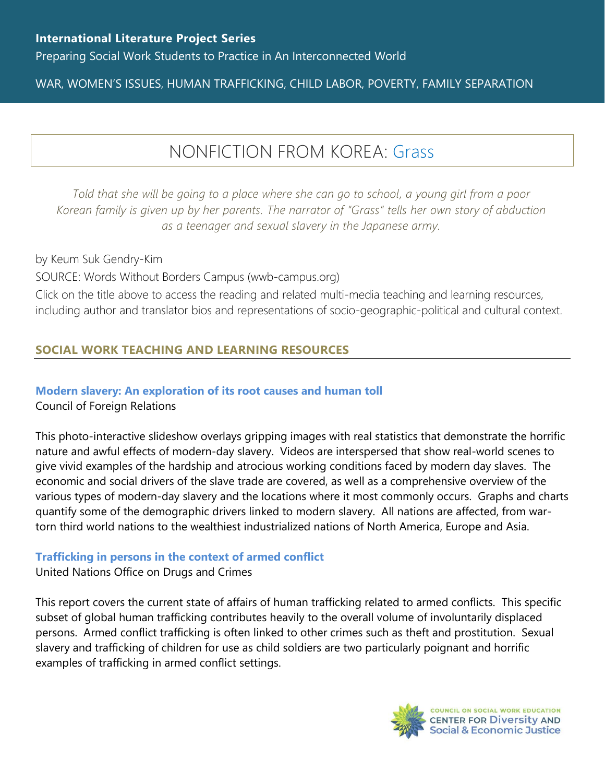Preparing Social Work Students to Practice in An Interconnected World

## WAR, WOMEN'S ISSUES, HUMAN TRAFFICKING, CHILD LABOR, POVERTY, FAMILY SEPARATION

# NONFICTION FROM KOREA: [Grass](https://www.wwb-campus.org/literature/grass)

*Told that she will be going to a place where she can go to school, a young girl from a poor Korean family is given up by her parents. The narrator of "Grass" tells her own story of abduction as a teenager and sexual slavery in the Japanese army.*

by Keum Suk Gendry-Kim SOURCE: Words Without Borders Campus (wwb-campus.org) Click on the title above to access the reading and related multi-media teaching and learning resources, including author and translator bios and representations of socio-geographic-political and cultural context.

## **SOCIAL WORK TEACHING AND LEARNING RESOURCES**

#### **[Modern slavery: An exploration of its root causes and human toll](https://www.cfr.org/modern-slavery#!/section1/item-1)**

Council of Foreign Relations

This photo-interactive slideshow overlays gripping images with real statistics that demonstrate the horrific nature and awful effects of modern-day slavery. Videos are interspersed that show real-world scenes to give vivid examples of the hardship and atrocious working conditions faced by modern day slaves. The economic and social drivers of the slave trade are covered, as well as a comprehensive overview of the various types of modern-day slavery and the locations where it most commonly occurs. Graphs and charts quantify some of the demographic drivers linked to modern slavery. All nations are affected, from wartorn third world nations to the wealthiest industrialized nations of North America, Europe and Asia.

#### **[Trafficking in persons in the context of armed conflict](https://www.unodc.org/documents/data-and-analysis/glotip/2018/GloTIP2018_BOOKLET_2_Conflict.pdf)**

United Nations Office on Drugs and Crimes

This report covers the current state of affairs of human trafficking related to armed conflicts. This specific subset of global human trafficking contributes heavily to the overall volume of involuntarily displaced persons. Armed conflict trafficking is often linked to other crimes such as theft and prostitution. Sexual slavery and trafficking of children for use as child soldiers are two particularly poignant and horrific examples of trafficking in armed conflict settings.